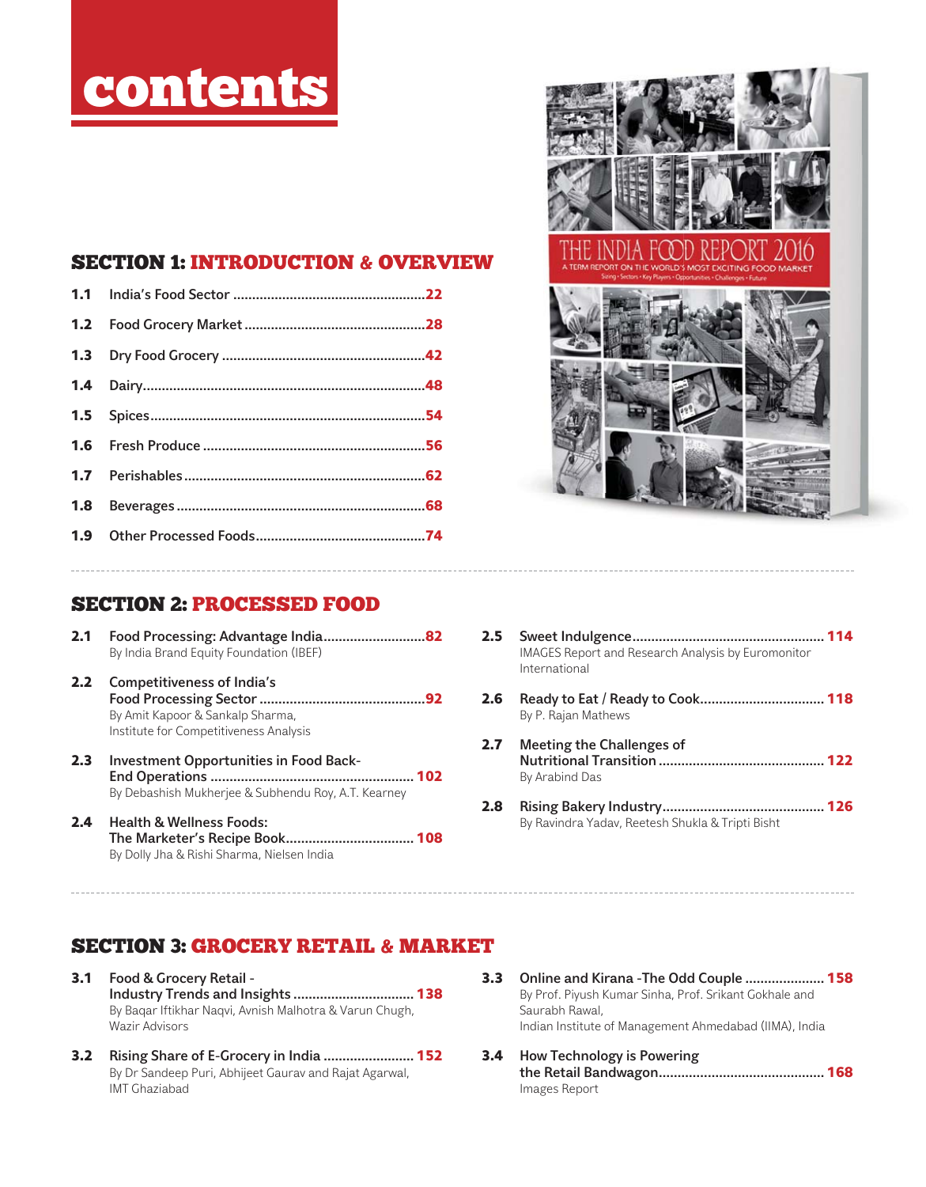# contents

### SECTION 1: INTRODUCTION & OVERVIEW



# SECTION 2: PROCESSED FOOD

- 2.1 Food Processing: Advantage India..............................82 By India Brand Equity Foundation (IBEF)
- 2.2 Competitiveness of India's Food Processing Sector ............................................92 By Amit Kapoor & Sankalp Sharma, Institute for Competitiveness Analysis
- 2.3 Investment Opportunities in Food Back-End Operations ...................................................... 102 By Debashish Mukherjee & Subhendu Roy, A.T. Kearney
- 2.4 Health & Wellness Foods: The Marketer's Recipe Book .................................. 108 By Dolly Jha & Rishi Sharma, Nielsen India
- 2.5 Sweet Indulgence ................................................... 114 IMAGES Report and Research Analysis by Euromonitor International
- 2.6 Ready to Eat / Ready to Cook ................................. 118 By P. Rajan Mathews
- 2.7 Meeting the Challenges of Nutritional Transition ............................................ 122 By Arabind Das
- 2.8 Rising Bakery Industry ........................................... 126 By Ravindra Yadav, Reetesh Shukla & Tripti Bisht

# SECTION 3: GROCERY RETAIL & MARKET

- 3.1 Food & Grocery Retail Industry Trends and Insights ................................ 138 By Baqar Iftikhar Naqvi, Avnish Malhotra & Varun Chugh, Wazir Advisors
- 3.2 Rising Share of E-Grocery in India ........................ 152 By Dr Sandeep Puri, Abhijeet Gaurav and Rajat Agarwal, IMT Ghaziabad
- 3.3 Online and Kirana -The Odd Couple ..................... 158 By Prof. Piyush Kumar Sinha, Prof. Srikant Gokhale and Saurabh Rawal, Indian Institute of Management Ahmedabad (IIMA), India
- 3.4 How Technology is Powering the Retail Bandwagon ............................................ 168 Images Report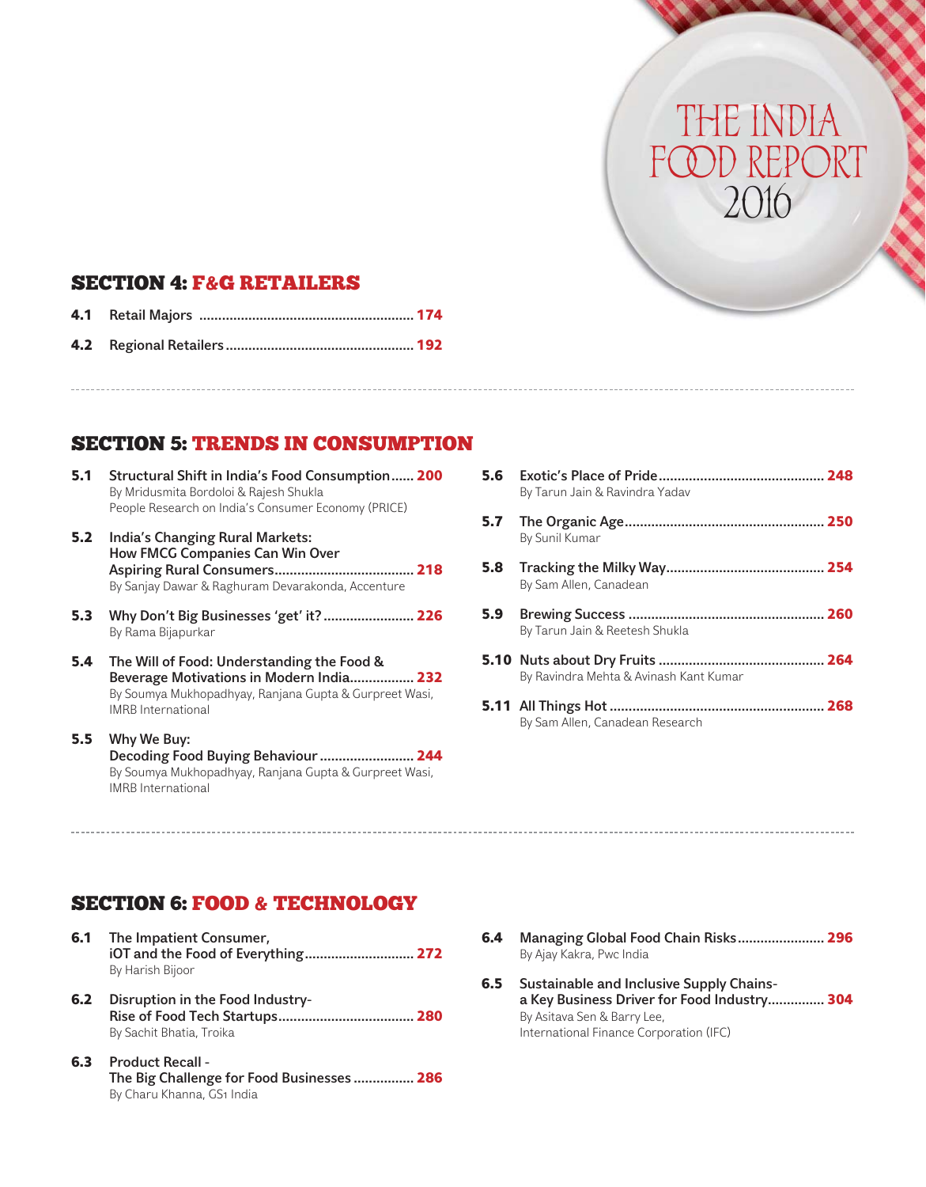#### SECTION 4: F&G RETAILERS

# SECTION 5: TRENDS IN CONSUMPTION

- 5.1 Structural Shift in India's Food Consumption ...... 200 By Mridusmita Bordoloi & Rajesh Shukla People Research on India's Consumer Economy (PRICE)
- 5.2 India's Changing Rural Markets: How FMCG Companies Can Win Over Aspiring Rural Consumers ..................................... 218 By Sanjay Dawar & Raghuram Devarakonda, Accenture
- 5.3 Why Don't Big Businesses 'get' it? ........................ 226 By Rama Bijapurkar
- 5.4 The Will of Food: Understanding the Food & Beverage Motivations in Modern India................. 232 By Soumya Mukhopadhyay, Ranjana Gupta & Gurpreet Wasi, IMRB International
- 5.5 Why We Buy: Decoding Food Buying Behaviour ......................... 244 By Soumya Mukhopadhyay, Ranjana Gupta & Gurpreet Wasi, IMRB International
- 5.6 Exotic's Place of Pride ............................................ 248 By Tarun Jain & Ravindra Yadav 5.7 The Organic Age ..................................................... 250 By Sunil Kumar 5.8 Tracking the Milky Way .......................................... 254 By Sam Allen, Canadean 5.9 Brewing Success .................................................... 260 By Tarun Jain & Reetesh Shukla 5.10 Nuts about Dry Fruits ............................................ 264 By Ravindra Mehta & Avinash Kant Kumar 5.11 All Things Hot ......................................................... 268 By Sam Allen, Canadean Research

THE IND

FOOD REPORT

2016

#### SECTION 6: FOOD & TECHNOLOGY

- 6.1 The Impatient Consumer, iOT and the Food of Everything ............................. 272 By Harish Bijoor
- 6.2 Disruption in the Food Industry-Rise of Food Tech Startups .................................... 280 By Sachit Bhatia, Troika
- 6.3 Product Recall The Big Challenge for Food Businesses ................ 286 By Charu Khanna, GS1 India
- 6.4 Managing Global Food Chain Risks ....................... 296 By Ajay Kakra, Pwc India
- 6.5 Sustainable and Inclusive Supply Chainsa Key Business Driver for Food Industry ............... 304 By Asitava Sen & Barry Lee, International Finance Corporation (IFC)